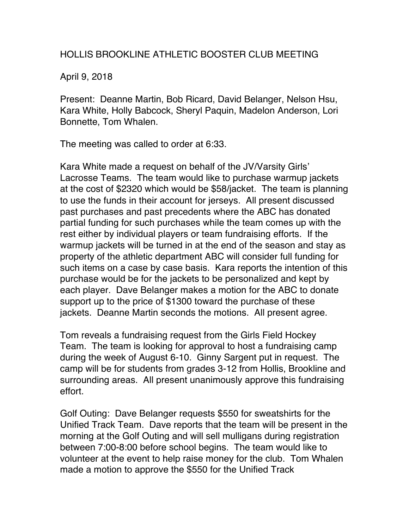## HOLLIS BROOKLINE ATHLETIC BOOSTER CLUB MEETING

April 9, 2018

Present: Deanne Martin, Bob Ricard, David Belanger, Nelson Hsu, Kara White, Holly Babcock, Sheryl Paquin, Madelon Anderson, Lori Bonnette, Tom Whalen.

The meeting was called to order at 6:33.

Kara White made a request on behalf of the JV/Varsity Girls' Lacrosse Teams. The team would like to purchase warmup jackets at the cost of \$2320 which would be \$58/jacket. The team is planning to use the funds in their account for jerseys. All present discussed past purchases and past precedents where the ABC has donated partial funding for such purchases while the team comes up with the rest either by individual players or team fundraising efforts. If the warmup jackets will be turned in at the end of the season and stay as property of the athletic department ABC will consider full funding for such items on a case by case basis. Kara reports the intention of this purchase would be for the jackets to be personalized and kept by each player. Dave Belanger makes a motion for the ABC to donate support up to the price of \$1300 toward the purchase of these jackets. Deanne Martin seconds the motions. All present agree.

Tom reveals a fundraising request from the Girls Field Hockey Team. The team is looking for approval to host a fundraising camp during the week of August 6-10. Ginny Sargent put in request. The camp will be for students from grades 3-12 from Hollis, Brookline and surrounding areas. All present unanimously approve this fundraising effort.

Golf Outing: Dave Belanger requests \$550 for sweatshirts for the Unified Track Team. Dave reports that the team will be present in the morning at the Golf Outing and will sell mulligans during registration between 7:00-8:00 before school begins. The team would like to volunteer at the event to help raise money for the club. Tom Whalen made a motion to approve the \$550 for the Unified Track